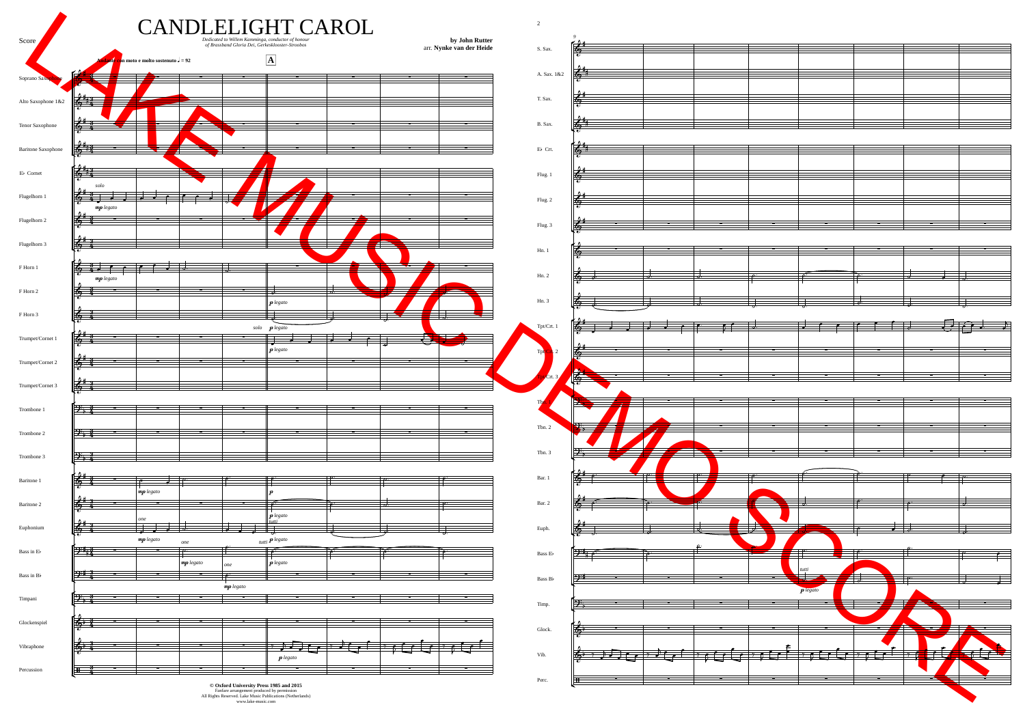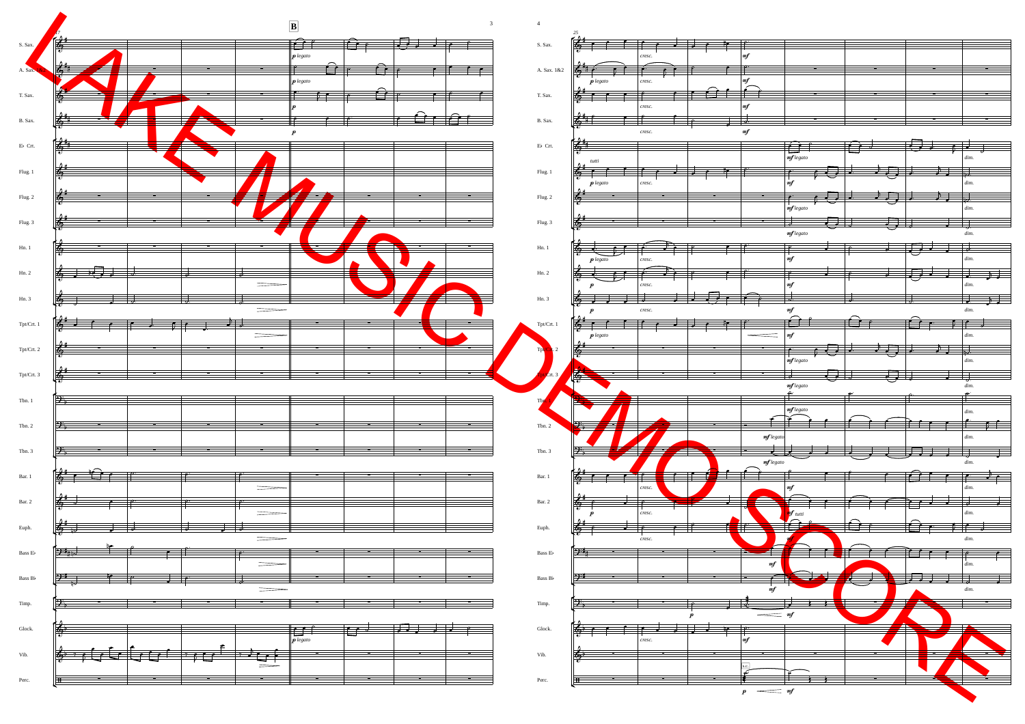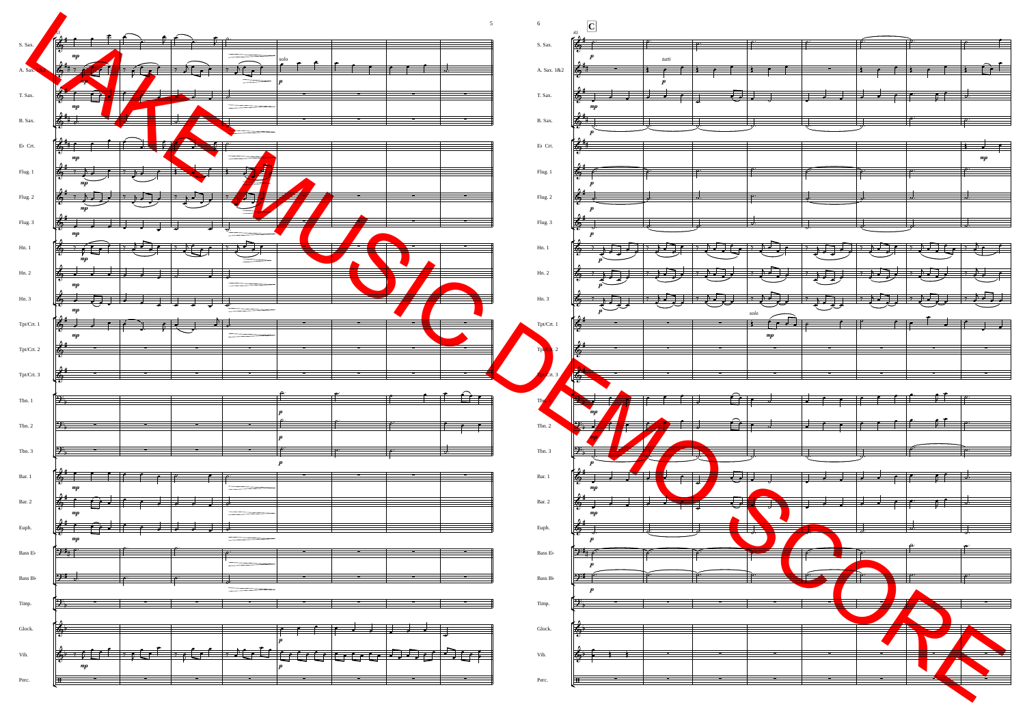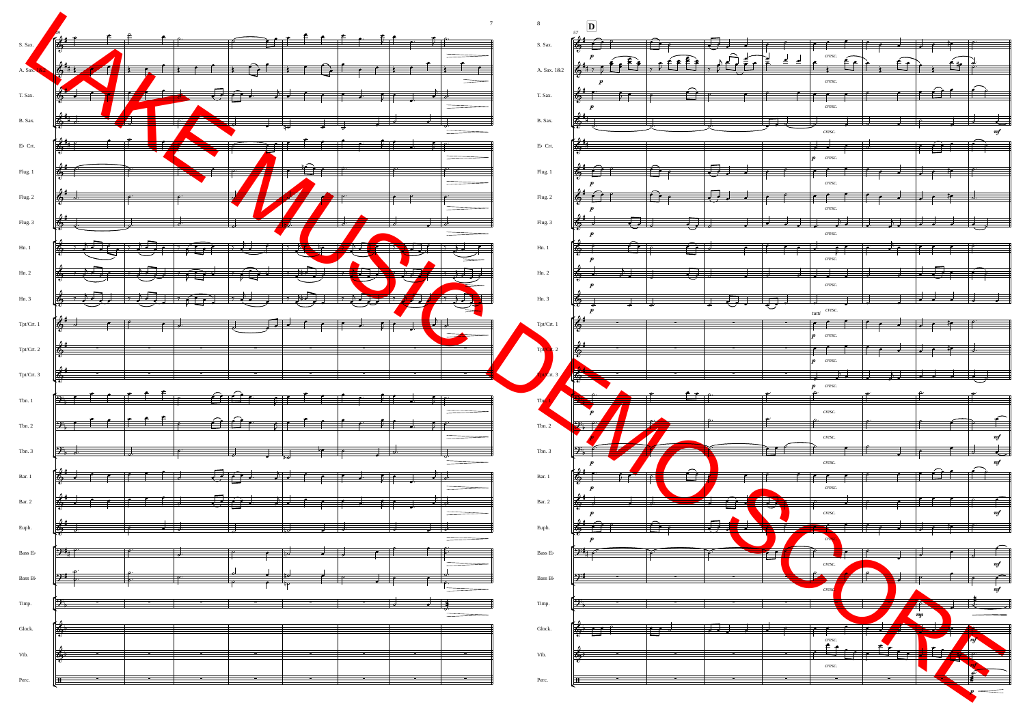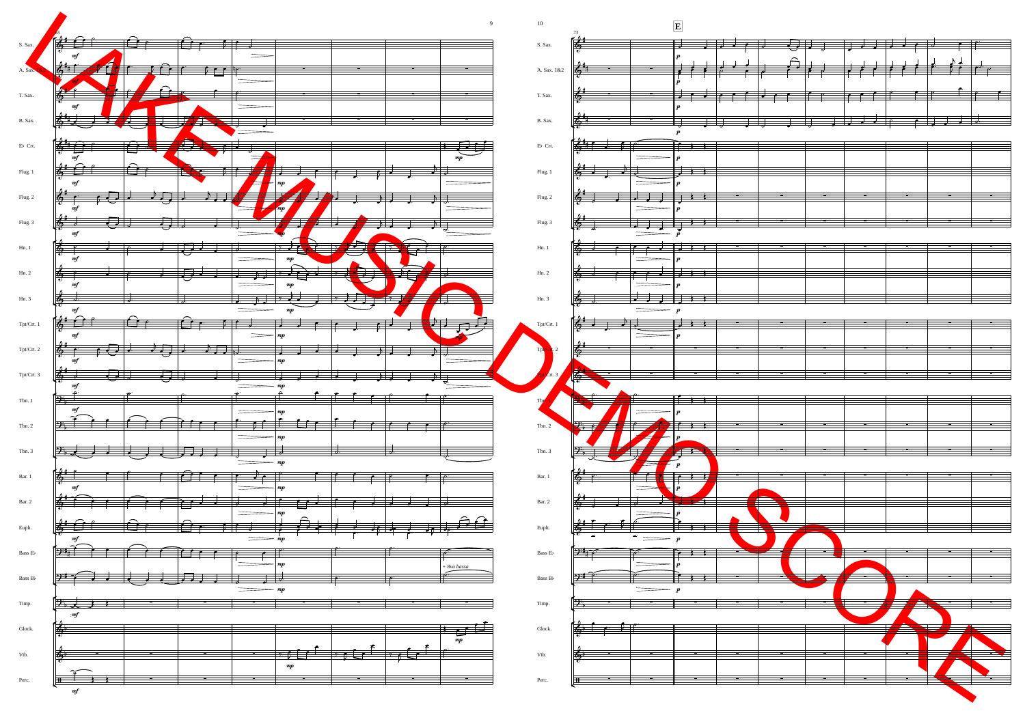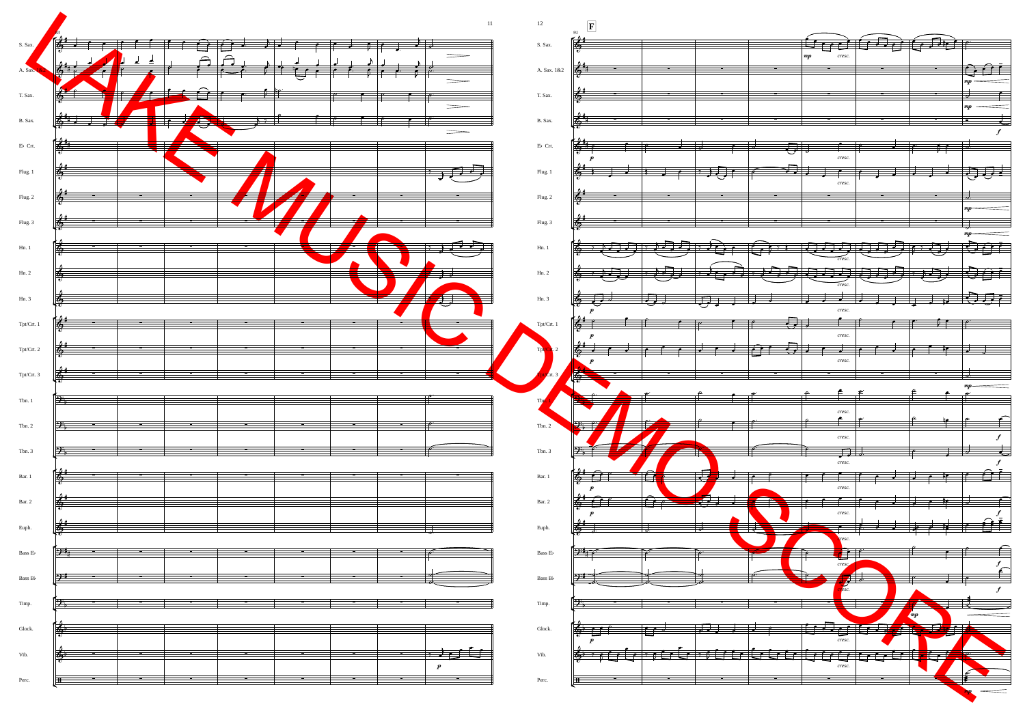